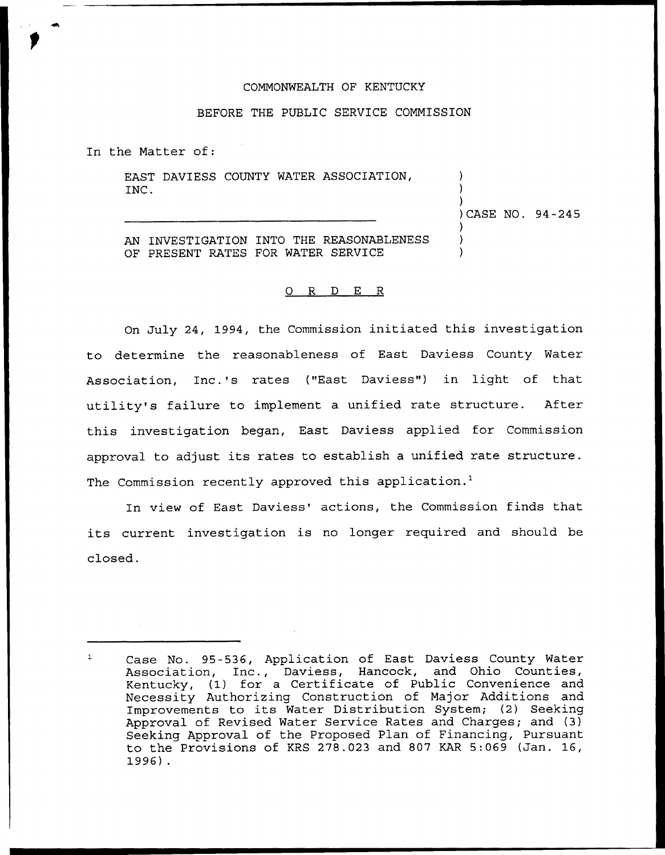## COMMONWEALTH OF KENTUCKY

## BEFORE THE PUBLIC SERVICE COMMISSION

In the Matter of:

EAST DAVIESS COUNTY WATER ASSOCIATION, INC.

)<br>)CASE NO. 94-245

) )

) ) )

AN INVESTIGATION INTO THE REASONABLENESS OF PRESENT RATES FOR WATER SERVICE

## 0 R <sup>D</sup> E R

On July 24, 1994, the Commission initiated this investigation to determine the reasonableness of East Daviess County Water Association, Inc.'s rates ("East Daviess") in light of that utility's failure to implement a unified rate structure. After this investigation began., East Daviess applied for Commission approval to adjust its rates to establish a unified rate structure. The Commission recently approved this application.<sup>1</sup>

In view of East Daviess' actions, the Commission finds that its current investigation is no longer required and should be closed.

Case No. 95-536, Application of East Daviess County Water  $\mathbf{1}$ Association, Inc., Daviess, Hancock, and Ohio Counties, Kentucky, (1) for a Certificate of Public Convenience and Necessity Authorizing Construction of Major Additions and Improvements to its Water Distribution System; (2) Seeking Approval of Revised Water Service Rates and Charges; and (3) Seeking Approval of the Proposed Plan of Financing, Pursuant to the Provisions of KRS 278.023 and 807 KAR 5:069 (Jan. 16, 1996) .